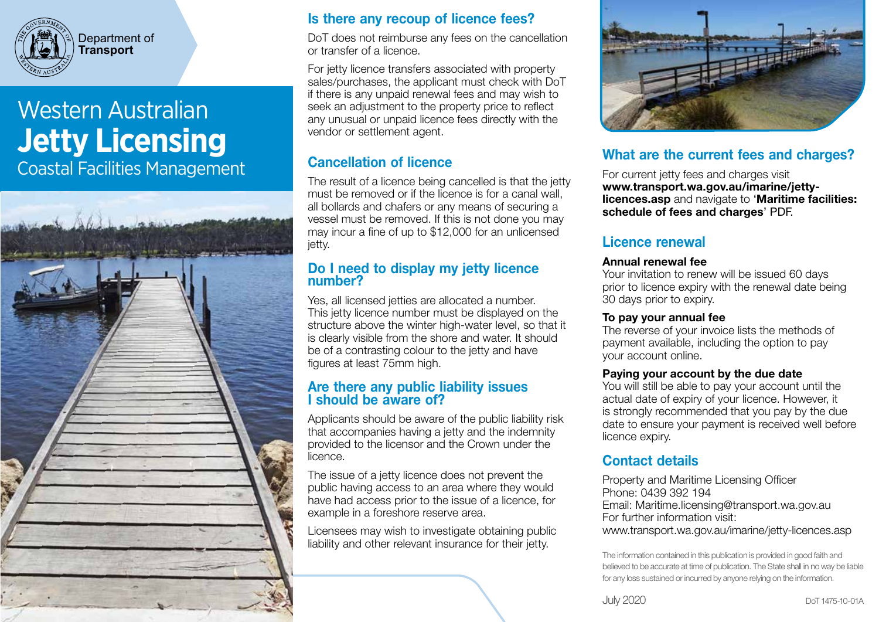

Department of **Transport**

# Western Australian **Jetty Licensing** Coastal Facilities Management



### Is there any recoup of licence fees?

DoT does not reimburse any fees on the cancellation or transfer of a licence.

For jetty licence transfers associated with property sales/purchases, the applicant must check with DoT if there is any unpaid renewal fees and may wish to seek an adjustment to the property price to reflect any unusual or unpaid licence fees directly with the vendor or settlement agent.

### Cancellation of licence

The result of a licence being cancelled is that the jetty must be removed or if the licence is for a canal wall, all bollards and chafers or any means of securing a vessel must be removed. If this is not done you may may incur a fine of up to \$12,000 for an unlicensed jetty.

### Do I need to display my jetty licence number?

Yes, all licensed jetties are allocated a number. This jetty licence number must be displayed on the structure above the winter high-water level, so that it is clearly visible from the shore and water. It should be of a contrasting colour to the jetty and have figures at least 75mm high.

### Are there any public liability issues I should be aware of?

Applicants should be aware of the public liability risk that accompanies having a jetty and the indemnity provided to the licensor and the Crown under the licence.

The issue of a jetty licence does not prevent the public having access to an area where they would have had access prior to the issue of a licence, for example in a foreshore reserve area.

Licensees may wish to investigate obtaining public liability and other relevant insurance for their jetty.



### What are the current fees and charges?

For current jetty fees and charges visit www.transport.wa.gov.au/imarine/jettylicences.asp and navigate to 'Maritime facilities: schedule of fees and charges' PDF.

### Licence renewal

#### Annual renewal fee

Your invitation to renew will be issued 60 days prior to licence expiry with the renewal date being 30 days prior to expiry.

### To pay your annual fee

The reverse of your invoice lists the methods of payment available, including the option to pay your account online.

### Paying your account by the due date

You will still be able to pay your account until the actual date of expiry of your licence. However, it is strongly recommended that you pay by the due date to ensure your payment is received well before licence expiry.

### Contact details

Property and Maritime Licensing Officer Phone: 0439 392 194 Email: Maritime.licensing@transport.wa.gov.au For further information visit: www.transport.wa.gov.au/imarine/jetty-licences.asp

The information contained in this publication is provided in good faith and believed to be accurate at time of publication. The State shall in no way be liable for any loss sustained or incurred by anyone relying on the information.